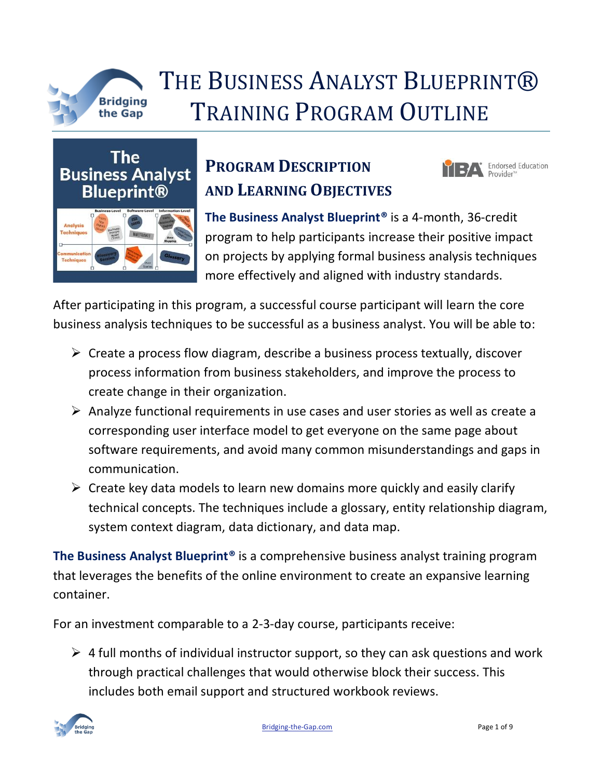

## THE BUSINESS ANALYST BLUEPRINT® Bridging<br>the Gap TRAINING PROGRAM OUTLINE

**The Business Analyst Blueprint®** 



## **PROGRAM DESCRIPTION AND LEARNING OBJECTIVES**



**The Business Analyst Blueprint®** is a 4-month, 36-credit program to help participants increase their positive impact on projects by applying formal business analysis techniques more effectively and aligned with industry standards.

After participating in this program, a successful course participant will learn the core business analysis techniques to be successful as a business analyst. You will be able to:

- $\triangleright$  Create a process flow diagram, describe a business process textually, discover process information from business stakeholders, and improve the process to create change in their organization.
- ➢ Analyze functional requirements in use cases and user stories as well as create a corresponding user interface model to get everyone on the same page about software requirements, and avoid many common misunderstandings and gaps in communication.
- $\triangleright$  Create key data models to learn new domains more quickly and easily clarify technical concepts. The techniques include a glossary, entity relationship diagram, system context diagram, data dictionary, and data map.

**The Business Analyst Blueprint®** is a comprehensive business analyst training program that leverages the benefits of the online environment to create an expansive learning container.

For an investment comparable to a 2-3-day course, participants receive:

 $\triangleright$  4 full months of individual instructor support, so they can ask questions and work through practical challenges that would otherwise block their success. This includes both email support and structured workbook reviews.

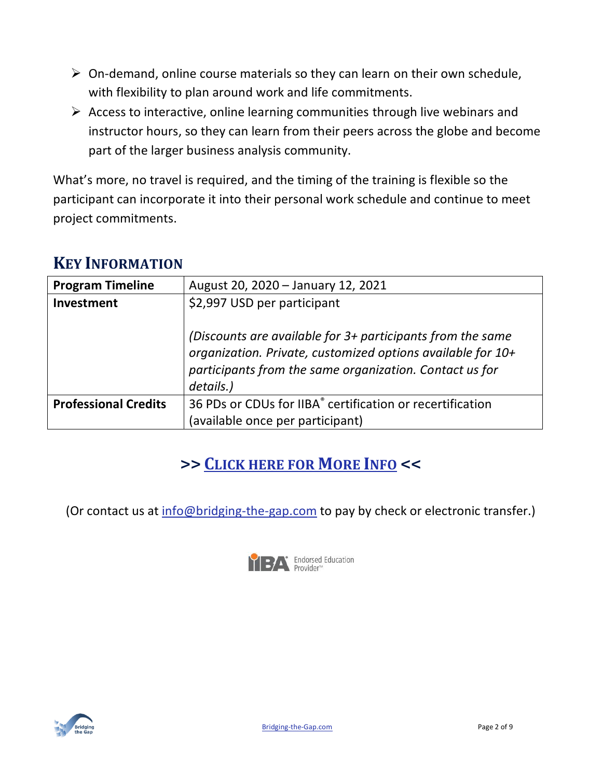- $\triangleright$  On-demand, online course materials so they can learn on their own schedule, with flexibility to plan around work and life commitments.
- $\triangleright$  Access to interactive, online learning communities through live webinars and instructor hours, so they can learn from their peers across the globe and become part of the larger business analysis community.

What's more, no travel is required, and the timing of the training is flexible so the participant can incorporate it into their personal work schedule and continue to meet project commitments.

### **KEY INFORMATION**

| <b>Program Timeline</b>     | August 20, 2020 - January 12, 2021                                                                                                                                                                |
|-----------------------------|---------------------------------------------------------------------------------------------------------------------------------------------------------------------------------------------------|
| Investment                  | \$2,997 USD per participant                                                                                                                                                                       |
|                             | (Discounts are available for 3+ participants from the same<br>organization. Private, customized options available for 10+<br>participants from the same organization. Contact us for<br>details.) |
| <b>Professional Credits</b> | 36 PDs or CDUs for IIBA® certification or recertification                                                                                                                                         |
|                             | (available once per participant)                                                                                                                                                                  |

## **>> C[LICK HERE FOR](https://www.bridging-the-gap.com/business-analyst-blueprint/) MORE INFO <<**

(Or contact us at [info@bridging-the-gap.com](mailto:info@bridging-the-gap.com) to pay by check or electronic transfer.)



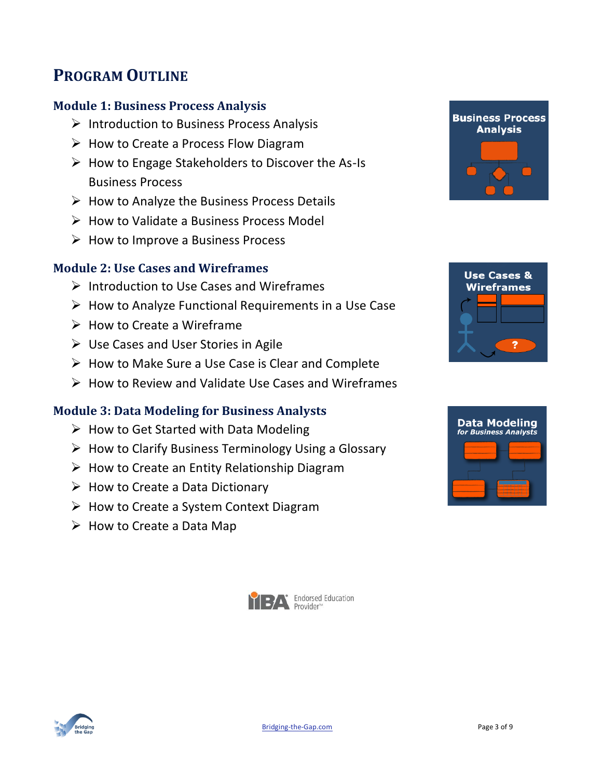### **PROGRAM OUTLINE**

#### **Module 1: Business Process Analysis**

- ➢ Introduction to Business Process Analysis
- ➢ How to Create a Process Flow Diagram
- ➢ How to Engage Stakeholders to Discover the As-Is Business Process
- $\triangleright$  How to Analyze the Business Process Details
- $\triangleright$  How to Validate a Business Process Model
- ➢ How to Improve a Business Process

#### **Module 2: Use Cases and Wireframes**

- ➢ Introduction to Use Cases and Wireframes
- ➢ How to Analyze Functional Requirements in a Use Case
- ➢ How to Create a Wireframe
- ➢ Use Cases and User Stories in Agile
- ➢ How to Make Sure a Use Case is Clear and Complete
- ➢ How to Review and Validate Use Cases and Wireframes

#### **Module 3: Data Modeling for Business Analysts**

- $\triangleright$  How to Get Started with Data Modeling
- $\triangleright$  How to Clarify Business Terminology Using a Glossary
- $\triangleright$  How to Create an Entity Relationship Diagram
- $\triangleright$  How to Create a Data Dictionary
- ➢ How to Create a System Context Diagram
- $\triangleright$  How to Create a Data Map









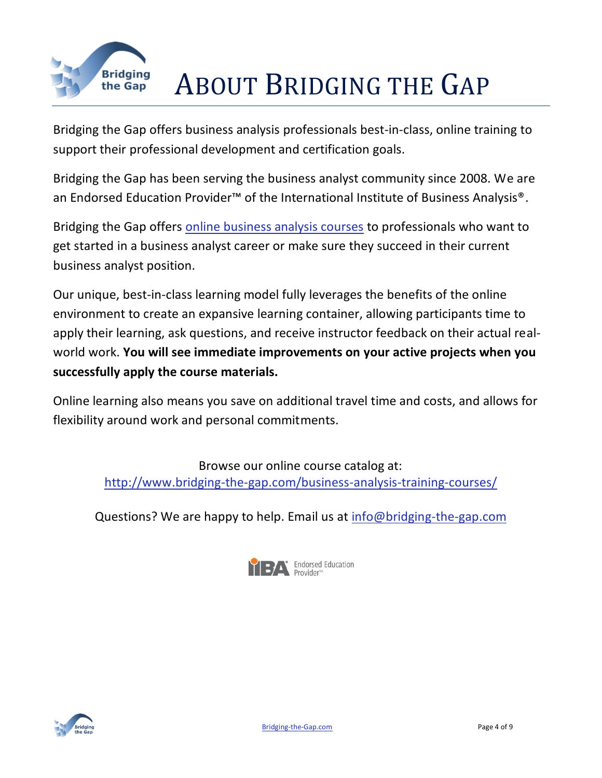

## Bridging **ABOUT BRIDGING THE GAP**

Bridging the Gap offers business analysis professionals best-in-class, online training to support their professional development and certification goals.

Bridging the Gap has been serving the business analyst community since 2008. We are an Endorsed Education Provider<sup>™</sup> of the International Institute of Business Analysis<sup>®</sup>.

Bridging the Gap offers online [business analysis courses](http://www.bridging-the-gap.com/business-analysis-training-courses/) to professionals who want to get started in a business analyst career or make sure they succeed in their current business analyst position.

Our unique, best-in-class learning model fully leverages the benefits of the online environment to create an expansive learning container, allowing participants time to apply their learning, ask questions, and receive instructor feedback on their actual realworld work. **You will see immediate improvements on your active projects when you successfully apply the course materials.**

Online learning also means you save on additional travel time and costs, and allows for flexibility around work and personal commitments.

> Browse our online course catalog at: <http://www.bridging-the-gap.com/business-analysis-training-courses/>

Questions? We are happy to help. Email us at [info@bridging-the-gap.com](mailto:info@bridging-the-gap.com)



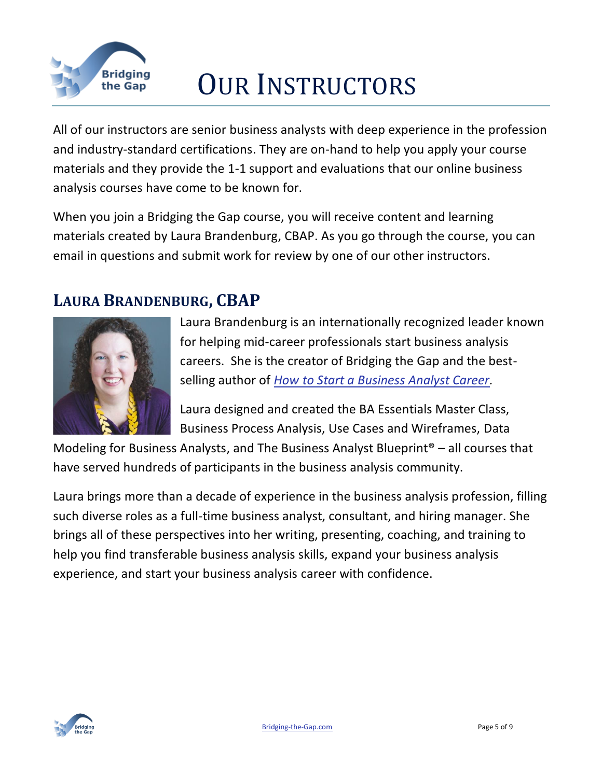

## Bridging<br>the Gap **OUR INSTRUCTORS**

All of our instructors are senior business analysts with deep experience in the profession and industry-standard certifications. They are on-hand to help you apply your course materials and they provide the 1-1 support and evaluations that our online [business](http://www.bridging-the-gap.com/business-analysis-training-courses/)  [analysis courses](http://www.bridging-the-gap.com/business-analysis-training-courses/) have come to be known for.

When you join a Bridging the Gap course, you will receive content and learning materials created by Laura Brandenburg, CBAP. As you go through the course, you can email in questions and submit work for review by one of our other instructors.

### **LAURA BRANDENBURG, CBAP**



Laura Brandenburg is an internationally recognized leader known for helping mid-career professionals start business analysis careers. She is the creator of Bridging the Gap and the bestselling author of *[How to Start a Business Analyst Career.](http://www.bridging-the-gap.com/become-a-business-analyst/)*

Laura designed and created the BA Essentials Master Class, Business Process Analysis, Use Cases and Wireframes, Data

Modeling for Business Analysts, and The Business Analyst Blueprint® – all courses that have served hundreds of participants in the business analysis community.

Laura brings more than a decade of experience in the business analysis profession, filling such diverse roles as a full-time business analyst, consultant, and hiring manager. She brings all of these perspectives into her writing, presenting, coaching, and training to help you find transferable business analysis skills, expand your business analysis experience, and start your business analysis career with confidence.

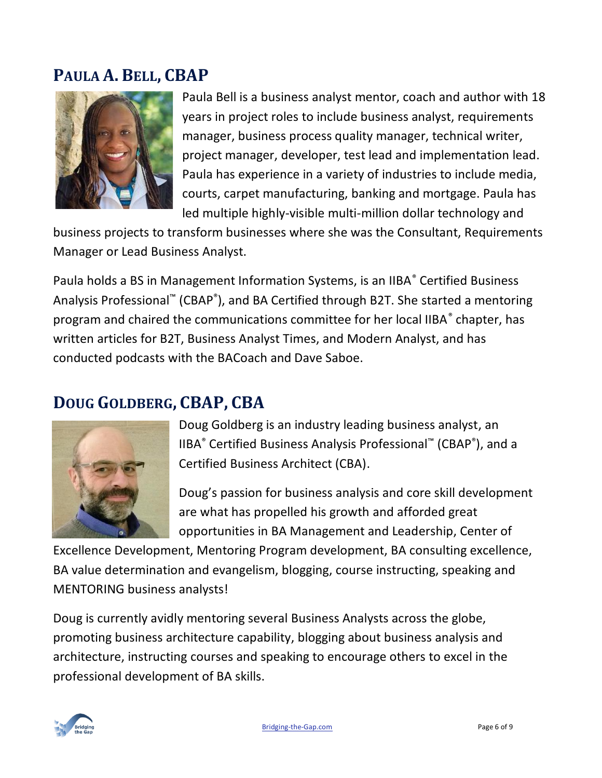### **PAULA A. BELL, CBAP**



Paula Bell is a business analyst mentor, coach and author with 18 years in project roles to include business analyst, requirements manager, business process quality manager, technical writer, project manager, developer, test lead and implementation lead. Paula has experience in a variety of industries to include media, courts, carpet manufacturing, banking and mortgage. Paula has led multiple highly-visible multi-million dollar technology and

business projects to transform businesses where she was the Consultant, Requirements Manager or Lead Business Analyst.

Paula holds a BS in Management Information Systems, is an IIBA® Certified Business Analysis Professional™ (CBAP®), and BA Certified through B2T. She started a mentoring program and chaired the communications committee for her local IIBA<sup>®</sup> chapter, has written articles for B2T, Business Analyst Times, and Modern Analyst, and has conducted podcasts with the BACoach and Dave Saboe.

### **DOUG GOLDBERG, CBAP, CBA**



Doug Goldberg is an industry leading business analyst, an IIBA® Certified Business Analysis Professional™ (CBAP® ), and a Certified Business Architect (CBA).

Doug's passion for business analysis and core skill development are what has propelled his growth and afforded great opportunities in BA Management and Leadership, Center of

Excellence Development, Mentoring Program development, BA consulting excellence, BA value determination and evangelism, blogging, course instructing, speaking and MENTORING business analysts!

Doug is currently avidly mentoring several Business Analysts across the globe, promoting business architecture capability, blogging about business analysis and architecture, instructing courses and speaking to encourage others to excel in the professional development of BA skills.

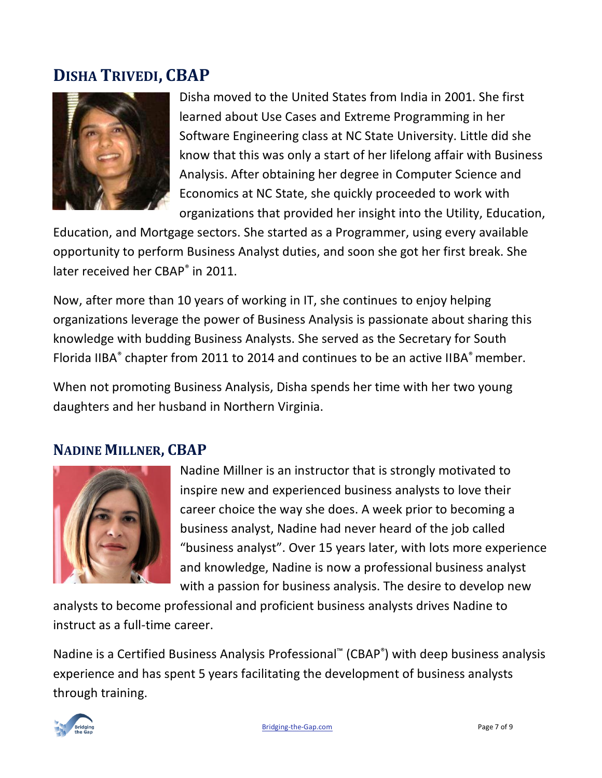### **DISHA TRIVEDI, CBAP**



Disha moved to the United States from India in 2001. She first learned about Use Cases and Extreme Programming in her Software Engineering class at NC State University. Little did she know that this was only a start of her lifelong affair with Business Analysis. After obtaining her degree in Computer Science and Economics at NC State, she quickly proceeded to work with organizations that provided her insight into the Utility, Education,

Education, and Mortgage sectors. She started as a Programmer, using every available opportunity to perform Business Analyst duties, and soon she got her first break. She later received her CBAP<sup>®</sup> in 2011.

Now, after more than 10 years of working in IT, she continues to enjoy helping organizations leverage the power of Business Analysis is passionate about sharing this knowledge with budding Business Analysts. She served as the Secretary for South Florida IIBA<sup>®</sup> chapter from 2011 to 2014 and continues to be an active IIBA<sup>®</sup> member.

When not promoting Business Analysis, Disha spends her time with her two young daughters and her husband in Northern Virginia.

### **NADINE MILLNER, CBAP**



Nadine Millner is an instructor that is strongly motivated to inspire new and experienced business analysts to love their career choice the way she does. A week prior to becoming a business analyst, Nadine had never heard of the job called "business analyst". Over 15 years later, with lots more experience and knowledge, Nadine is now a professional business analyst with a passion for business analysis. The desire to develop new

analysts to become professional and proficient business analysts drives Nadine to instruct as a full-time career.

Nadine is a Certified Business Analysis Professional<sup>™</sup> (CBAP<sup>®</sup>) with deep business analysis experience and has spent 5 years facilitating the development of business analysts through training.

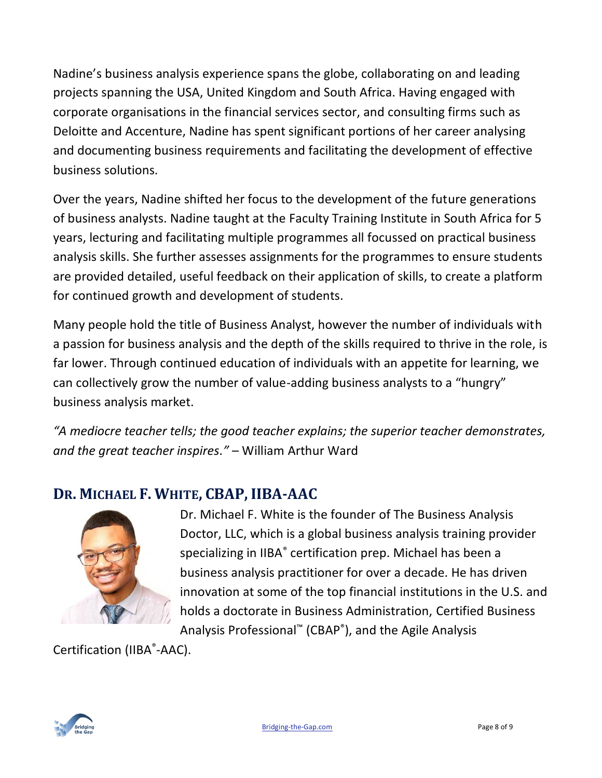Nadine's business analysis experience spans the globe, collaborating on and leading projects spanning the USA, United Kingdom and South Africa. Having engaged with corporate organisations in the financial services sector, and consulting firms such as Deloitte and Accenture, Nadine has spent significant portions of her career analysing and documenting business requirements and facilitating the development of effective business solutions.

Over the years, Nadine shifted her focus to the development of the future generations of business analysts. Nadine taught at the Faculty Training Institute in South Africa for 5 years, lecturing and facilitating multiple programmes all focussed on practical business analysis skills. She further assesses assignments for the programmes to ensure students are provided detailed, useful feedback on their application of skills, to create a platform for continued growth and development of students.

Many people hold the title of Business Analyst, however the number of individuals with a passion for business analysis and the depth of the skills required to thrive in the role, is far lower. Through continued education of individuals with an appetite for learning, we can collectively grow the number of value-adding business analysts to a "hungry" business analysis market.

*"A mediocre teacher tells; the good teacher explains; the superior teacher demonstrates, and the great teacher inspires."* – William Arthur Ward

### **DR. MICHAEL F. WHITE, CBAP, IIBA-AAC**



Dr. Michael F. White is the founder of The Business Analysis Doctor, LLC, which is a global business analysis training provider specializing in IIBA<sup>®</sup> certification prep. Michael has been a business analysis practitioner for over a decade. He has driven innovation at some of the top financial institutions in the U.S. and holds a doctorate in Business Administration, Certified Business Analysis Professional™ (CBAP® ), and the Agile Analysis

Certification (IIBA®-AAC).